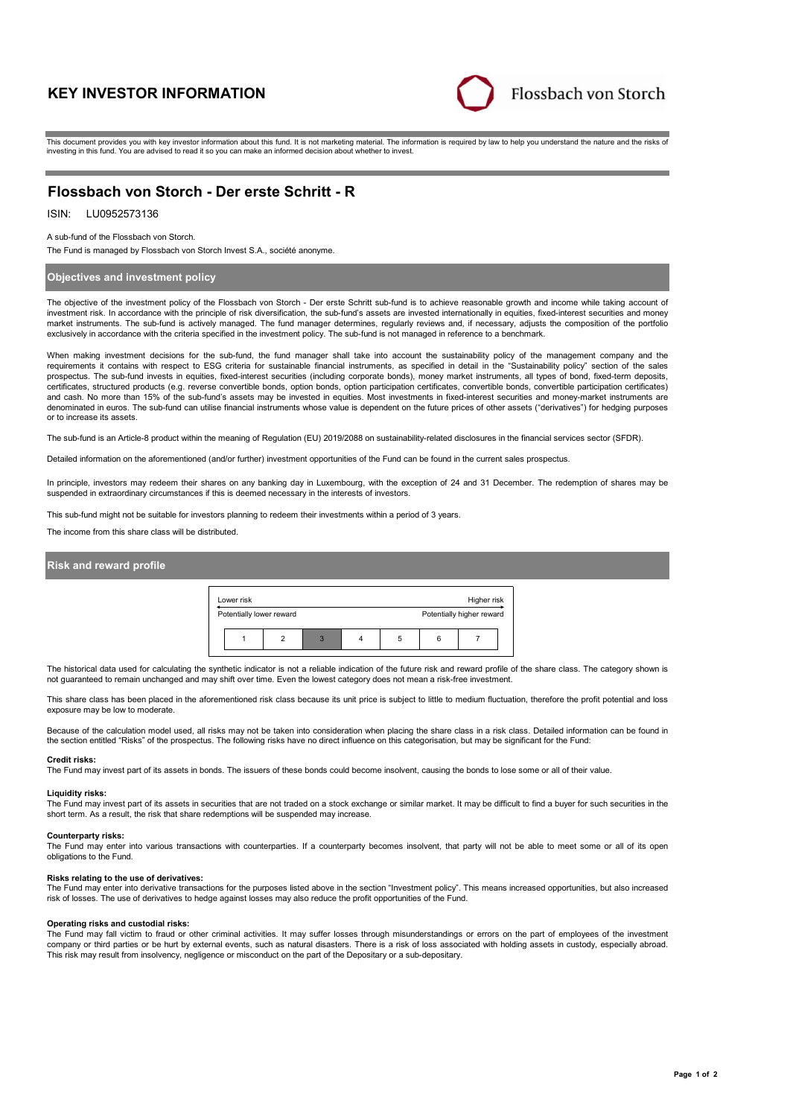# **KEY INVESTOR INFORMATION**



This document provides you with key investor information about this fund. It is not marketing material. The information is required by law to help you understand the nature and the risks of investing in this fund. You are advised to read it so you can make an informed decision about whether to invest.

## **Flossbach von Storch - Der erste Schritt - R**

## ISIN: LU0952573136

A sub-fund of the Flossbach von Storch.

The Fund is managed by Flossbach von Storch Invest S.A., société anonyme.

### **Objectives and investment policy**

The objective of the investment policy of the Flossbach von Storch - Der erste Schritt sub-fund is to achieve reasonable growth and income while taking account of investment risk. In accordance with the principle of risk diversification, the sub-fund's assets are invested internationally in equities, fixed-interest securities and money market instruments. The sub-fund is actively managed. The fund manager determines, regularly reviews and, if necessary, adjusts the composition of the portfolio exclusively in accordance with the criteria specified in the investment policy. The sub-fund is not managed in reference to a benchmark.

When making investment decisions for the sub-fund, the fund manager shall take into account the sustainability policy of the management company and the<br>requirements it contains with respect to ESG criteria for sustainable certificates, structured products (e.g. reverse convertible bonds, option bonds, option participation certificates, convertible bonds, convertible participation certificates) and cash. No more than 15% of the sub-fund's assets may be invested in equities. Most investments in fixed-interest securities and money-market instruments are denominated in euros. The sub-fund can utilise financial instruments whose value is dependent on the future prices of other assets ("derivatives") for hedging purposes or to increase its assets.

The sub-fund is an Article-8 product within the meaning of Regulation (EU) 2019/2088 on sustainability-related disclosures in the financial services sector (SFDR).

Detailed information on the aforementioned (and/or further) investment opportunities of the Fund can be found in the current sales prospectus.

In principle, investors may redeem their shares on any banking day in Luxembourg, with the exception of 24 and 31 December. The redemption of shares may be suspended in extraordinary circumstances if this is deemed necessary in the interests of investors.

This sub-fund might not be suitable for investors planning to redeem their investments within a period of 3 years.

The income from this share class will be distributed.

## **Risk and reward profile**



The historical data used for calculating the synthetic indicator is not a reliable indication of the future risk and reward profile of the share class. The category shown is not guaranteed to remain unchanged and may shift over time. Even the lowest category does not mean a risk-free investment.

This share class has been placed in the aforementioned risk class because its unit price is subject to little to medium fluctuation, therefore the profit potential and loss exposure may be low to moderate.

Because of the calculation model used, all risks may not be taken into consideration when placing the share class in a risk class. Detailed information can be found in the section entitled "Risks" of the prospectus. The following risks have no direct influence on this categorisation, but may be significant for the Fund:

#### **Credit risks:**

The Fund may invest part of its assets in bonds. The issuers of these bonds could become insolvent, causing the bonds to lose some or all of their value.

#### **Liquidity risks:**

The Fund may invest part of its assets in securities that are not traded on a stock exchange or similar market. It may be difficult to find a buyer for such securities in the short term. As a result, the risk that share redemptions will be suspended may increase.

#### **Counterparty risks:**

The Fund may enter into various transactions with counterparties. If a counterparty becomes insolvent, that party will not be able to meet some or all of its open obligations to the Fund.

#### **Risks relating to the use of derivatives:**

The Fund may enter into derivative transactions for the purposes listed above in the section "Investment policy". This means increased opportunities, but also increased<br>risk of losses. The use of derivatives to hedge again

#### **Operating risks and custodial risks:**

The Fund may fall victim to fraud or other criminal activities. It may suffer losses through misunderstandings or errors on the part of employees of the investment company or third parties or be hurt by external events, such as natural disasters. There is a risk of loss associated with holding assets in custody, especially abroad. This risk may result from insolvency, negligence or misconduct on the part of the Depositary or a sub-depositary.